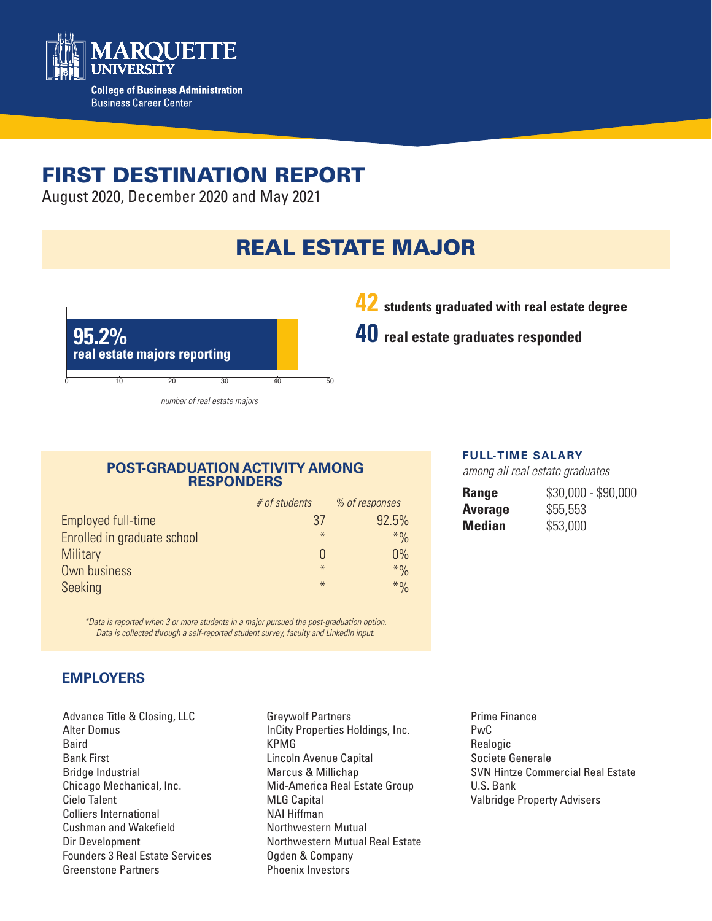

# FIRST DESTINATION REPORT

August 2020, December 2020 and May 2021

# REAL ESTATE MAJOR



**42 students graduated with real estate degree**

**40 real estate graduates responded**

## **POST-GRADUATION ACTIVITY AMONG RESPONDERS**

|                             | # of students | % of responses |
|-----------------------------|---------------|----------------|
| Employed full-time          | 37            | 92.5%          |
| Enrolled in graduate school | $\ast$        | $*9/0$         |
| <b>Military</b>             |               | 0%             |
| Own business                | $*$           | $*9/0$         |
| Seeking                     | $\ast$        | $*9/0$         |

*\*Data is reported when 3 or more students in a major pursued the post-graduation option. Data is collected through a self-reported student survey, faculty and LinkedIn input.*

## **EMPLOYERS**

Advance Title & Closing, LLC Alter Domus Baird Bank First Bridge Industrial Chicago Mechanical, Inc. Cielo Talent Colliers International Cushman and Wakefield Dir Development Founders 3 Real Estate Services Greenstone Partners

Greywolf Partners InCity Properties Holdings, Inc. KPMG Lincoln Avenue Capital Marcus & Millichap Mid-America Real Estate Group MLG Capital NAI Hiffman Northwestern Mutual Northwestern Mutual Real Estate Ogden & Company Phoenix Investors

#### **FULL-TIME SALARY**

*among all real estate graduates*

| <b>Range</b>   | $$30,000 - $90,000$ |
|----------------|---------------------|
| <b>Average</b> | \$55,553            |
| <b>Median</b>  | \$53,000            |

Prime Finance PwC Realogic Societe Generale SVN Hintze Commercial Real Estate U.S. Bank Valbridge Property Advisers